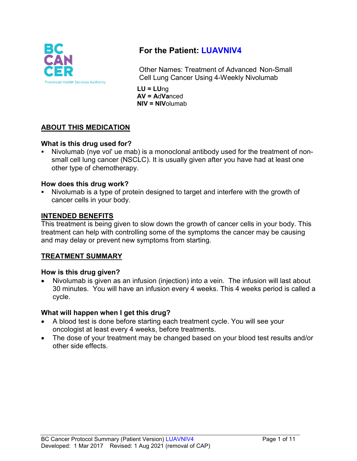

# **For the Patient: LUAVNIV4**

Other Names: Treatment of Advanced Non-Small Cell Lung Cancer Using 4-Weekly Nivolumab

**LU = LU**ng **AV = A**d**Va**nced **NIV = NIV**olumab

# **ABOUT THIS MEDICATION**

## **What is this drug used for?**

 Nivolumab (nye vol' ue mab) is a monoclonal antibody used for the treatment of nonsmall cell lung cancer (NSCLC). It is usually given after you have had at least one other type of chemotherapy.

#### **How does this drug work?**

 Nivolumab is a type of protein designed to target and interfere with the growth of cancer cells in your body.

#### **INTENDED BENEFITS**

This treatment is being given to slow down the growth of cancer cells in your body. This treatment can help with controlling some of the symptoms the cancer may be causing and may delay or prevent new symptoms from starting.

## **TREATMENT SUMMARY**

#### **How is this drug given?**

• Nivolumab is given as an infusion (injection) into a vein. The infusion will last about 30 minutes. You will have an infusion every 4 weeks. This 4 weeks period is called a cycle.

#### **What will happen when I get this drug?**

- A blood test is done before starting each treatment cycle. You will see your oncologist at least every 4 weeks, before treatments.
- The dose of your treatment may be changed based on your blood test results and/or other side effects.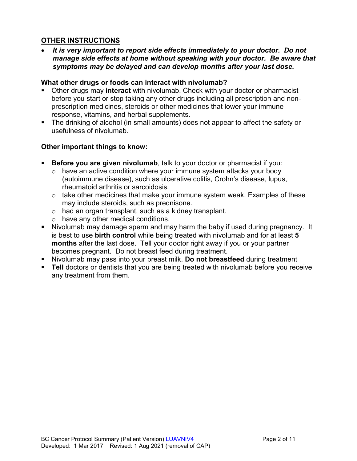# **OTHER INSTRUCTIONS**

• *It is very important to report side effects immediately to your doctor. Do not manage side effects at home without speaking with your doctor. Be aware that symptoms may be delayed and can develop months after your last dose.*

### **What other drugs or foods can interact with nivolumab?**

- Other drugs may **interact** with nivolumab. Check with your doctor or pharmacist before you start or stop taking any other drugs including all prescription and nonprescription medicines, steroids or other medicines that lower your immune response, vitamins, and herbal supplements.
- The drinking of alcohol (in small amounts) does not appear to affect the safety or usefulness of nivolumab.

## **Other important things to know:**

- **Before you are given nivolumab**, talk to your doctor or pharmacist if you:
	- $\circ$  have an active condition where your immune system attacks your body (autoimmune disease), such as ulcerative colitis, Crohn's disease, lupus, rheumatoid arthritis or sarcoidosis.
	- o take other medicines that make your immune system weak. Examples of these may include steroids, such as prednisone.
	- o had an organ transplant, such as a kidney transplant.
	- o have any other medical conditions.
- Nivolumab may damage sperm and may harm the baby if used during pregnancy. It is best to use **birth control** while being treated with nivolumab and for at least **5 months** after the last dose. Tell your doctor right away if you or your partner becomes pregnant. Do not breast feed during treatment.
- Nivolumab may pass into your breast milk. **Do not breastfeed** during treatment
- **Tell** doctors or dentists that you are being treated with nivolumab before you receive any treatment from them.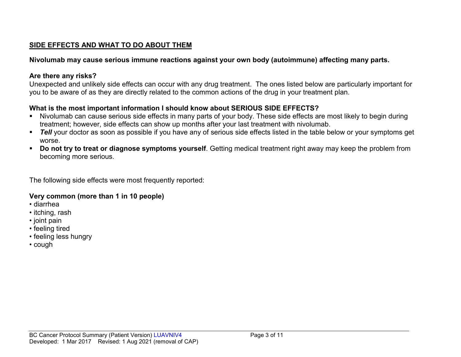# **SIDE EFFECTS AND WHAT TO DO ABOUT THEM**

# **Nivolumab may cause serious immune reactions against your own body (autoimmune) affecting many parts.**

## **Are there any risks?**

Unexpected and unlikely side effects can occur with any drug treatment. The ones listed below are particularly important for you to be aware of as they are directly related to the common actions of the drug in your treatment plan.

# **What is the most important information I should know about SERIOUS SIDE EFFECTS?**

- Nivolumab can cause serious side effects in many parts of your body. These side effects are most likely to begin during treatment; however, side effects can show up months after your last treatment with nivolumab.
- **Tell** your doctor as soon as possible if you have any of serious side effects listed in the table below or your symptoms get worse.
- **Do not try to treat or diagnose symptoms yourself**. Getting medical treatment right away may keep the problem from becoming more serious.

The following side effects were most frequently reported:

# **Very common (more than 1 in 10 people)**

- diarrhea
- itching, rash
- joint pain
- feeling tired
- feeling less hungry
- cough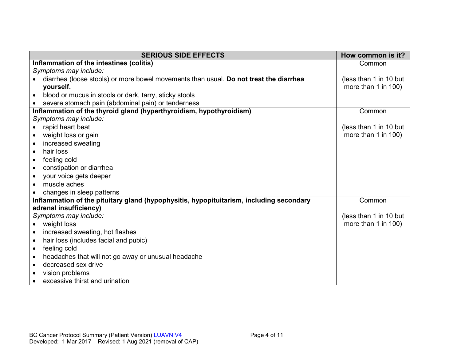| <b>SERIOUS SIDE EFFECTS</b>                                                             | How common is it?      |
|-----------------------------------------------------------------------------------------|------------------------|
| Inflammation of the intestines (colitis)                                                | Common                 |
| Symptoms may include:                                                                   |                        |
| diarrhea (loose stools) or more bowel movements than usual. Do not treat the diarrhea   | (less than 1 in 10 but |
| yourself.                                                                               | more than 1 in 100)    |
| blood or mucus in stools or dark, tarry, sticky stools<br>$\bullet$                     |                        |
| severe stomach pain (abdominal pain) or tenderness                                      |                        |
| Inflammation of the thyroid gland (hyperthyroidism, hypothyroidism)                     | Common                 |
| Symptoms may include:                                                                   |                        |
| rapid heart beat<br>$\bullet$                                                           | (less than 1 in 10 but |
| weight loss or gain<br>$\bullet$                                                        | more than 1 in 100)    |
| increased sweating                                                                      |                        |
| hair loss<br>$\bullet$                                                                  |                        |
| feeling cold<br>$\bullet$                                                               |                        |
| constipation or diarrhea<br>$\bullet$                                                   |                        |
| your voice gets deeper<br>$\bullet$                                                     |                        |
| muscle aches                                                                            |                        |
| changes in sleep patterns                                                               |                        |
| Inflammation of the pituitary gland (hypophysitis, hypopituitarism, including secondary | Common                 |
| adrenal insufficiency)                                                                  |                        |
| Symptoms may include:                                                                   | (less than 1 in 10 but |
| weight loss<br>$\bullet$                                                                | more than 1 in 100)    |
| increased sweating, hot flashes                                                         |                        |
| hair loss (includes facial and pubic)<br>$\bullet$                                      |                        |
| feeling cold<br>$\bullet$                                                               |                        |
| headaches that will not go away or unusual headache<br>$\bullet$                        |                        |
| decreased sex drive<br>$\bullet$                                                        |                        |
| vision problems                                                                         |                        |
| excessive thirst and urination<br>$\bullet$                                             |                        |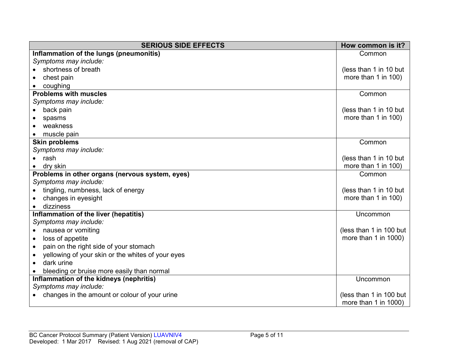| <b>SERIOUS SIDE EFFECTS</b><br>How common is it?               |                         |  |  |
|----------------------------------------------------------------|-------------------------|--|--|
| Inflammation of the lungs (pneumonitis)                        | Common                  |  |  |
| Symptoms may include:                                          |                         |  |  |
| shortness of breath                                            | (less than 1 in 10 but  |  |  |
| chest pain                                                     | more than 1 in 100)     |  |  |
| coughing                                                       |                         |  |  |
| <b>Problems with muscles</b>                                   | Common                  |  |  |
| Symptoms may include:                                          |                         |  |  |
| back pain                                                      | (less than 1 in 10 but  |  |  |
| spasms                                                         | more than 1 in 100)     |  |  |
| weakness                                                       |                         |  |  |
| muscle pain                                                    |                         |  |  |
| <b>Skin problems</b>                                           | Common                  |  |  |
| Symptoms may include:                                          |                         |  |  |
| rash                                                           | (less than 1 in 10 but  |  |  |
| dry skin                                                       | more than 1 in 100)     |  |  |
| Problems in other organs (nervous system, eyes)                | Common                  |  |  |
| Symptoms may include:                                          |                         |  |  |
| tingling, numbness, lack of energy                             | (less than 1 in 10 but  |  |  |
| changes in eyesight                                            | more than 1 in 100)     |  |  |
| dizziness                                                      |                         |  |  |
| Inflammation of the liver (hepatitis)                          | Uncommon                |  |  |
| Symptoms may include:                                          |                         |  |  |
| nausea or vomiting<br>$\bullet$                                | (less than 1 in 100 but |  |  |
| loss of appetite<br>$\bullet$                                  | more than 1 in 1000)    |  |  |
| pain on the right side of your stomach<br>$\bullet$            |                         |  |  |
| yellowing of your skin or the whites of your eyes<br>$\bullet$ |                         |  |  |
| dark urine<br>$\bullet$                                        |                         |  |  |
| bleeding or bruise more easily than normal                     |                         |  |  |
| Inflammation of the kidneys (nephritis)                        | Uncommon                |  |  |
| Symptoms may include:                                          |                         |  |  |
| changes in the amount or colour of your urine                  | (less than 1 in 100 but |  |  |
|                                                                | more than 1 in 1000)    |  |  |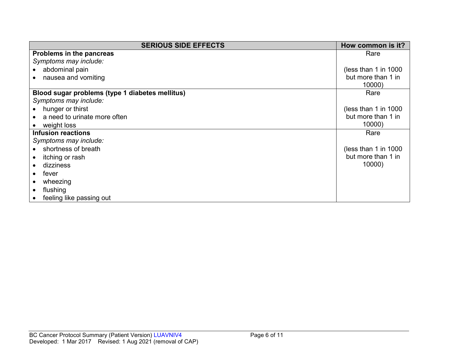| <b>SERIOUS SIDE EFFECTS</b>                     | How common is it?     |
|-------------------------------------------------|-----------------------|
| Problems in the pancreas                        | Rare                  |
| Symptoms may include:                           |                       |
| abdominal pain                                  | (less than 1 in 1000) |
| nausea and vomiting                             | but more than 1 in    |
|                                                 | 10000)                |
| Blood sugar problems (type 1 diabetes mellitus) | Rare                  |
| Symptoms may include:                           |                       |
| hunger or thirst                                | (less than 1 in 1000) |
| a need to urinate more often                    | but more than 1 in    |
| weight loss                                     | 10000)                |
| <b>Infusion reactions</b>                       | Rare                  |
| Symptoms may include:                           |                       |
| shortness of breath                             | (less than 1 in 1000) |
| itching or rash                                 | but more than 1 in    |
| dizziness                                       | 10000)                |
| fever                                           |                       |
| wheezing                                        |                       |
| flushing                                        |                       |
| feeling like passing out                        |                       |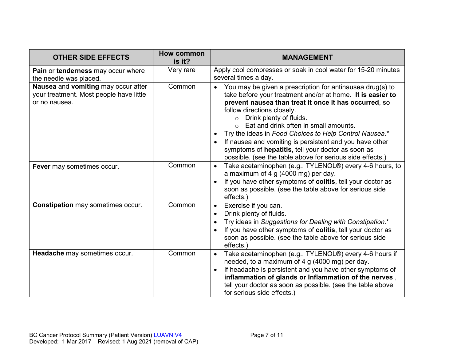| <b>OTHER SIDE EFFECTS</b>                                                                       | How common<br>is it? | <b>MANAGEMENT</b>                                                                                                                                                                                                                                                                                                                                                                                                                                                                                                                                  |
|-------------------------------------------------------------------------------------------------|----------------------|----------------------------------------------------------------------------------------------------------------------------------------------------------------------------------------------------------------------------------------------------------------------------------------------------------------------------------------------------------------------------------------------------------------------------------------------------------------------------------------------------------------------------------------------------|
| Pain or tenderness may occur where<br>the needle was placed.                                    | Very rare            | Apply cool compresses or soak in cool water for 15-20 minutes<br>several times a day.                                                                                                                                                                                                                                                                                                                                                                                                                                                              |
| Nausea and vomiting may occur after<br>your treatment. Most people have little<br>or no nausea. | Common               | You may be given a prescription for antinausea drug(s) to<br>$\bullet$<br>take before your treatment and/or at home. It is easier to<br>prevent nausea than treat it once it has occurred, so<br>follow directions closely.<br>Drink plenty of fluids.<br>$\circ$<br>Eat and drink often in small amounts.<br>Try the ideas in Food Choices to Help Control Nausea.*<br>If nausea and vomiting is persistent and you have other<br>symptoms of hepatitis, tell your doctor as soon as<br>possible. (see the table above for serious side effects.) |
| Fever may sometimes occur.                                                                      | Common               | Take acetaminophen (e.g., TYLENOL®) every 4-6 hours, to<br>$\bullet$<br>a maximum of 4 g (4000 mg) per day.<br>If you have other symptoms of colitis, tell your doctor as<br>soon as possible. (see the table above for serious side<br>effects.)                                                                                                                                                                                                                                                                                                  |
| <b>Constipation may sometimes occur.</b>                                                        | Common               | Exercise if you can.<br>$\bullet$<br>Drink plenty of fluids.<br>Try ideas in Suggestions for Dealing with Constipation.*<br>If you have other symptoms of colitis, tell your doctor as<br>soon as possible. (see the table above for serious side<br>effects.)                                                                                                                                                                                                                                                                                     |
| Headache may sometimes occur.                                                                   | Common               | Take acetaminophen (e.g., TYLENOL®) every 4-6 hours if<br>$\bullet$<br>needed, to a maximum of 4 g (4000 mg) per day.<br>If headache is persistent and you have other symptoms of<br>inflammation of glands or Inflammation of the nerves,<br>tell your doctor as soon as possible. (see the table above<br>for serious side effects.)                                                                                                                                                                                                             |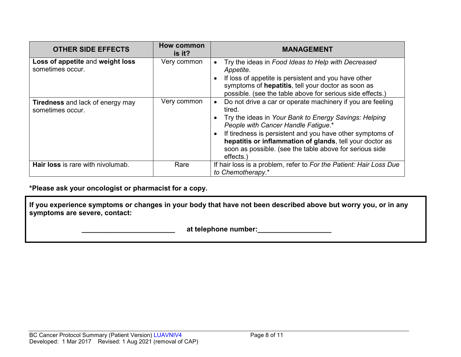| <b>OTHER SIDE EFFECTS</b>                                   | <b>How common</b><br>is it? | <b>MANAGEMENT</b>                                                                                                                                                                                                                                                                                                                                                    |
|-------------------------------------------------------------|-----------------------------|----------------------------------------------------------------------------------------------------------------------------------------------------------------------------------------------------------------------------------------------------------------------------------------------------------------------------------------------------------------------|
| Loss of appetite and weight loss<br>sometimes occur.        | Very common                 | Try the ideas in Food Ideas to Help with Decreased<br>Appetite.<br>If loss of appetite is persistent and you have other<br>symptoms of hepatitis, tell your doctor as soon as<br>possible. (see the table above for serious side effects.)                                                                                                                           |
| <b>Tiredness</b> and lack of energy may<br>sometimes occur. | Very common                 | Do not drive a car or operate machinery if you are feeling<br>tired.<br>Try the ideas in Your Bank to Energy Savings: Helping<br>People with Cancer Handle Fatigue.*<br>If tiredness is persistent and you have other symptoms of<br>hepatitis or inflammation of glands, tell your doctor as<br>soon as possible. (see the table above for serious side<br>effects. |
| Hair loss is rare with nivolumab.                           | Rare                        | If hair loss is a problem, refer to For the Patient: Hair Loss Due<br>to Chemotherapy.*                                                                                                                                                                                                                                                                              |

**\*Please ask your oncologist or pharmacist for a copy.**

**If you experience symptoms or changes in your body that have not been described above but worry you, or in any symptoms are severe, contact:**

 **\_\_\_\_\_\_\_\_\_\_\_\_\_\_\_\_\_\_\_\_\_\_\_\_ at telephone number:\_\_\_\_\_\_\_\_\_\_\_\_\_\_\_\_\_\_\_**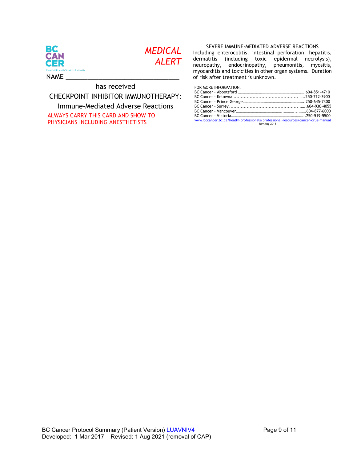| <b>BC</b><br>CAN<br><b>MEDICAL</b><br><b>ALERT</b><br>CER<br><b>Provincial Health Services Authority</b><br>NAME                                                    | SEVERE IMMUNE-MEDIATED ADVERSE REACTIONS<br>Including enterocolitis, intestinal perforation, hepatitis,<br>dermatitis (including toxic epidermal<br>necrolysis),<br>neuropathy, endocrinopathy, pneumonitis,<br>myositis,<br>myocarditis and toxicities in other organ systems. Duration<br>of risk after treatment is unknown. |
|---------------------------------------------------------------------------------------------------------------------------------------------------------------------|---------------------------------------------------------------------------------------------------------------------------------------------------------------------------------------------------------------------------------------------------------------------------------------------------------------------------------|
| has received<br>CHECKPOINT INHIBITOR IMMUNOTHERAPY:<br>Immune-Mediated Adverse Reactions<br>ALWAYS CARRY THIS CARD AND SHOW TO<br>PHYSICIANS INCLUDING ANESTHETISTS | FOR MORE INFORMATION:<br>www.bccancer.bc.ca/health-professionals/professional-resources/cancer-drug-manual<br>Rev Aug 2018                                                                                                                                                                                                      |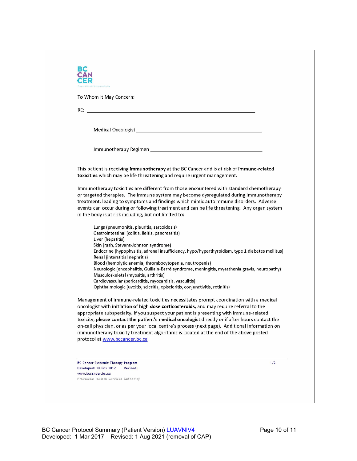| To Whom It May Concern:                                                                                                                                                                                                        |       |
|--------------------------------------------------------------------------------------------------------------------------------------------------------------------------------------------------------------------------------|-------|
|                                                                                                                                                                                                                                |       |
|                                                                                                                                                                                                                                |       |
| Medical Oncologist New York and Service Contract and Service Contract of the Contract of the Contract of the Contract of the Contract of the Contract of the Contract of the Contract of the Contract of the Contract of the C |       |
|                                                                                                                                                                                                                                |       |
|                                                                                                                                                                                                                                |       |
|                                                                                                                                                                                                                                |       |
| This patient is receiving immunotherapy at the BC Cancer and is at risk of immune-related                                                                                                                                      |       |
| toxicities which may be life threatening and require urgent management.                                                                                                                                                        |       |
| Immunotherapy toxicities are different from those encountered with standard chemotherapy                                                                                                                                       |       |
| or targeted therapies. The immune system may become dysregulated during immunotherapy                                                                                                                                          |       |
| treatment, leading to symptoms and findings which mimic autoimmune disorders. Adverse                                                                                                                                          |       |
| events can occur during or following treatment and can be life threatening. Any organ system                                                                                                                                   |       |
| in the body is at risk including, but not limited to:                                                                                                                                                                          |       |
| Lungs (pneumonitis, pleuritis, sarcoidosis)                                                                                                                                                                                    |       |
| Gastrointestinal (colitis, ileitis, pancreatitis)                                                                                                                                                                              |       |
| Liver (hepatitis)                                                                                                                                                                                                              |       |
| Skin (rash, Stevens-Johnson syndrome)<br>Endocrine (hypophysitis, adrenal insufficiency, hypo/hyperthyroidism, type 1 diabetes mellitus)                                                                                       |       |
| Renal (interstitial nephritis)                                                                                                                                                                                                 |       |
| Blood (hemolytic anemia, thrombocytopenia, neutropenia)                                                                                                                                                                        |       |
| Neurologic (encephalitis, Guillain-Barré syndrome, meningitis, myasthenia gravis, neuropathy)                                                                                                                                  |       |
| Musculoskeletal (myositis, arthritis)                                                                                                                                                                                          |       |
| Cardiovascular (pericarditis, myocarditis, vasculitis)<br>Ophthalmologic (uveitis, scleritis, episcleritis, conjunctivitis, retinitis)                                                                                         |       |
|                                                                                                                                                                                                                                |       |
| Management of immune-related toxicities necessitates prompt coordination with a medical                                                                                                                                        |       |
| oncologist with initiation of high dose corticosteroids, and may require referral to the                                                                                                                                       |       |
| appropriate subspecialty. If you suspect your patient is presenting with immune-related                                                                                                                                        |       |
| toxicity, please contact the patient's medical oncologist directly or if after hours contact the                                                                                                                               |       |
| on-call physician, or as per your local centre's process (next page). Additional information on                                                                                                                                |       |
| immunotherapy toxicity treatment algorithms is located at the end of the above posted<br>protocol at www.bccancer.bc.ca.                                                                                                       |       |
|                                                                                                                                                                                                                                |       |
|                                                                                                                                                                                                                                |       |
| BC Cancer Systemic Therapy Program                                                                                                                                                                                             | $1/2$ |
| Developed: 28 Nov 2017<br>Revised:                                                                                                                                                                                             |       |
| www.bccancer.bc.ca<br>Provincial Health Services Authority                                                                                                                                                                     |       |